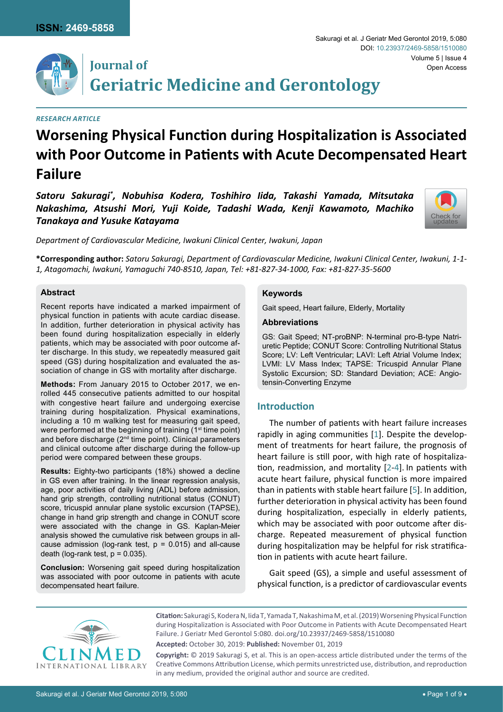

## **Journal of Geriatric Medicine and Gerontology**

#### *Research Article*

# **Worsening Physical Function during Hospitalization is Associated with Poor Outcome in Patients with Acute Decompensated Heart Failure**

*Satoru Sakuragi\* , Nobuhisa Kodera, Toshihiro Iida, Takashi Yamada, Mitsutaka Nakashima, Atsushi Mori, Yuji Koide, Tadashi Wada, Kenji Kawamoto, Machiko Tanakaya and Yusuke Katayama*



*Department of Cardiovascular Medicine, Iwakuni Clinical Center, Iwakuni, Japan*

**\*Corresponding author:** *Satoru Sakuragi, Department of Cardiovascular Medicine, Iwakuni Clinical Center, Iwakuni, 1-1- 1, Atagomachi, Iwakuni, Yamaguchi 740-8510, Japan, Tel: +81-827-34-1000, Fax: +81-827-35-5600*

## **Abstract**

Recent reports have indicated a marked impairment of physical function in patients with acute cardiac disease. In addition, further deterioration in physical activity has been found during hospitalization especially in elderly patients, which may be associated with poor outcome after discharge. In this study, we repeatedly measured gait speed (GS) during hospitalization and evaluated the association of change in GS with mortality after discharge.

**Methods:** From January 2015 to October 2017, we enrolled 445 consecutive patients admitted to our hospital with congestive heart failure and undergoing exercise training during hospitalization. Physical examinations, including a 10 m walking test for measuring gait speed, were performed at the beginning of training (1<sup>st</sup> time point) and before discharge (2<sup>nd</sup> time point). Clinical parameters and clinical outcome after discharge during the follow-up period were compared between these groups.

**Results:** Eighty-two participants (18%) showed a decline in GS even after training. In the linear regression analysis, age, poor activities of daily living (ADL) before admission, hand grip strength, controlling nutritional status (CONUT) score, tricuspid annular plane systolic excursion (TAPSE), change in hand grip strength and change in CONUT score were associated with the change in GS. Kaplan-Meier analysis showed the cumulative risk between groups in allcause admission (log-rank test,  $p = 0.015$ ) and all-cause death (log-rank test,  $p = 0.035$ ).

**Conclusion:** Worsening gait speed during hospitalization was associated with poor outcome in patients with acute decompensated heart failure.

## **Keywords**

Gait speed, Heart failure, Elderly, Mortality

## **Abbreviations**

GS: Gait Speed; NT-proBNP: N-terminal pro-B-type Natriuretic Peptide; CONUT Score: Controlling Nutritional Status Score; LV: Left Ventricular; LAVI: Left Atrial Volume Index; LVMI: LV Mass Index; TAPSE: Tricuspid Annular Plane Systolic Excursion; SD: Standard Deviation; ACE: Angiotensin-Converting Enzyme

## **Introduction**

The number of patients with heart failure increases rapidly in aging communities [[1](#page-7-0)]. Despite the development of treatments for heart failure, the prognosis of heart failure is still poor, with high rate of hospitalization, readmission, and mortality [[2-](#page-7-1)[4](#page-7-2)]. In patients with acute heart failure, physical function is more impaired than in patients with stable heart failure [[5](#page-7-3)]. In addition, further deterioration in physical activity has been found during hospitalization, especially in elderly patients, which may be associated with poor outcome after discharge. Repeated measurement of physical function during hospitalization may be helpful for risk stratification in patients with acute heart failure.

Gait speed (GS), a simple and useful assessment of physical function, is a predictor of cardiovascular events



**Citation:** Sakuragi S, Kodera N, Iida T, Yamada T, Nakashima M, et al. (2019) Worsening Physical Function during Hospitalization is Associated with Poor Outcome in Patients with Acute Decompensated Heart Failure. J Geriatr Med Gerontol 5:080. [doi.org/10.23937/2469-5858/1510080](https://doi.org/10.23937/2469-5858/1510080) **Accepted:** October 30, 2019: **Published:** November 01, 2019

**Copyright:** © 2019 Sakuragi S, et al. This is an open-access article distributed under the terms of the Creative Commons Attribution License, which permits unrestricted use, distribution, and reproduction in any medium, provided the original author and source are credited.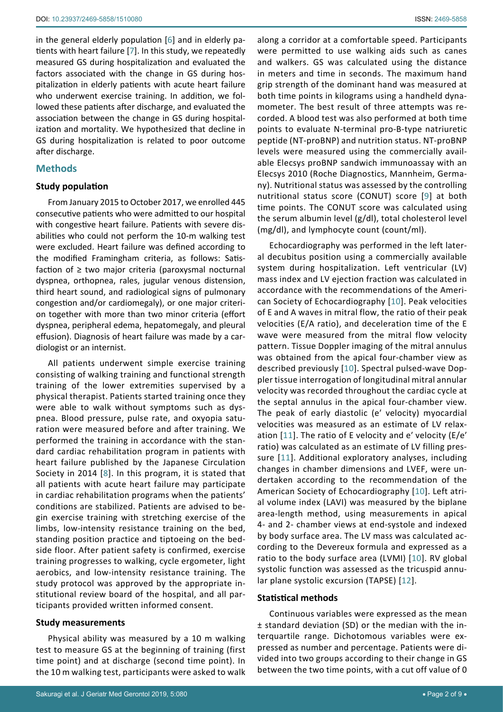in the general elderly population [[6\]](#page-7-8) and in elderly patients with heart failure [[7](#page-7-9)]. In this study, we repeatedly measured GS during hospitalization and evaluated the factors associated with the change in GS during hospitalization in elderly patients with acute heart failure who underwent exercise training. In addition, we followed these patients after discharge, and evaluated the association between the change in GS during hospitalization and mortality. We hypothesized that decline in GS during hospitalization is related to poor outcome after discharge.

## **Methods**

## **Study population**

From January 2015 to October 2017, we enrolled 445 consecutive patients who were admitted to our hospital with congestive heart failure. Patients with severe disabilities who could not perform the 10-m walking test were excluded. Heart failure was defined according to the modified Framingham criteria, as follows: Satisfaction of  $\geq$  two major criteria (paroxysmal nocturnal dyspnea, orthopnea, rales, jugular venous distension, third heart sound, and radiological signs of pulmonary congestion and/or cardiomegaly), or one major criterion together with more than two minor criteria (effort dyspnea, peripheral edema, hepatomegaly, and pleural effusion). Diagnosis of heart failure was made by a cardiologist or an internist.

All patients underwent simple exercise training consisting of walking training and functional strength training of the lower extremities supervised by a physical therapist. Patients started training once they were able to walk without symptoms such as dyspnea. Blood pressure, pulse rate, and oxyopia saturation were measured before and after training. We performed the training in accordance with the standard cardiac rehabilitation program in patients with heart failure published by the Japanese Circulation Society in 2014 [[8](#page-7-10)]. In this program, it is stated that all patients with acute heart failure may participate in cardiac rehabilitation programs when the patients' conditions are stabilized. Patients are advised to begin exercise training with stretching exercise of the limbs, low-intensity resistance training on the bed, standing position practice and tiptoeing on the bedside floor. After patient safety is confirmed, exercise training progresses to walking, cycle ergometer, light aerobics, and low-intensity resistance training. The study protocol was approved by the appropriate institutional review board of the hospital, and all participants provided written informed consent.

## **Study measurements**

Physical ability was measured by a 10 m walking test to measure GS at the beginning of training (first time point) and at discharge (second time point). In the 10 m walking test, participants were asked to walk along a corridor at a comfortable speed. Participants were permitted to use walking aids such as canes and walkers. GS was calculated using the distance in meters and time in seconds. The maximum hand grip strength of the dominant hand was measured at both time points in kilograms using a handheld dynamometer. The best result of three attempts was recorded. A blood test was also performed at both time points to evaluate N-terminal pro-B-type natriuretic peptide (NT-proBNP) and nutrition status. NT-proBNP levels were measured using the commercially available Elecsys proBNP sandwich immunoassay with an Elecsys 2010 (Roche Diagnostics, Mannheim, Germany). Nutritional status was assessed by the controlling nutritional status score (CONUT) score [[9](#page-7-4)] at both time points. The CONUT score was calculated using the serum albumin level (g/dl), total cholesterol level (mg/dl), and lymphocyte count (count/ml).

Echocardiography was performed in the left lateral decubitus position using a commercially available system during hospitalization. Left ventricular (LV) mass index and LV ejection fraction was calculated in accordance with the recommendations of the American Society of Echocardiography [[10](#page-7-5)]. Peak velocities of E and A waves in mitral flow, the ratio of their peak velocities (E/A ratio), and deceleration time of the E wave were measured from the mitral flow velocity pattern. Tissue Doppler imaging of the mitral annulus was obtained from the apical four-chamber view as described previously [[10](#page-7-5)]. Spectral pulsed-wave Doppler tissue interrogation of longitudinal mitral annular velocity was recorded throughout the cardiac cycle at the septal annulus in the apical four-chamber view. The peak of early diastolic (e′ velocity) myocardial velocities was measured as an estimate of LV relaxation [[11](#page-7-6)]. The ratio of E velocity and e′ velocity (E/e′ ratio) was calculated as an estimate of LV filling pressure [[11](#page-7-6)]. Additional exploratory analyses, including changes in chamber dimensions and LVEF, were undertaken according to the recommendation of the American Society of Echocardiography [[10](#page-7-5)]. Left atrial volume index (LAVI) was measured by the biplane area-length method, using measurements in apical 4- and 2- chamber views at end-systole and indexed by body surface area. The LV mass was calculated according to the Devereux formula and expressed as a ratio to the body surface area (LVMI) [[10](#page-7-5)]. RV global systolic function was assessed as the tricuspid annular plane systolic excursion (TAPSE) [[12](#page-7-7)].

## **Statistical methods**

Continuous variables were expressed as the mean ± standard deviation (SD) or the median with the interquartile range. Dichotomous variables were expressed as number and percentage. Patients were divided into two groups according to their change in GS between the two time points, with a cut off value of 0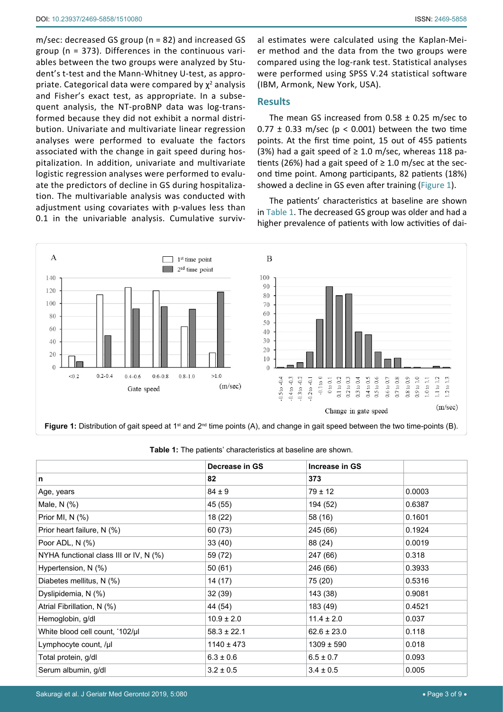m/sec: decreased GS group (n = 82) and increased GS group (n = 373). Differences in the continuous variables between the two groups were analyzed by Student's t-test and the Mann-Whitney U-test, as appropriate. Categorical data were compared by  $\chi^2$  analysis and Fisher's exact test, as appropriate. In a subsequent analysis, the NT-proBNP data was log-transformed because they did not exhibit a normal distribution. Univariate and multivariate linear regression analyses were performed to evaluate the factors associated with the change in gait speed during hospitalization. In addition, univariate and multivariate logistic regression analyses were performed to evaluate the predictors of decline in GS during hospitalization. The multivariable analysis was conducted with adjustment using covariates with p-values less than 0.1 in the univariable analysis. Cumulative survival estimates were calculated using the Kaplan-Meier method and the data from the two groups were compared using the log-rank test. Statistical analyses were performed using SPSS V.24 statistical software (IBM, Armonk, New York, USA).

## **Results**

The mean GS increased from  $0.58 \pm 0.25$  m/sec to  $0.77 \pm 0.33$  m/sec (p < 0.001) between the two time points. At the first time point, 15 out of 455 patients (3%) had a gait speed of  $\geq$  1.0 m/sec, whereas 118 patients (26%) had a gait speed of  $\geq 1.0$  m/sec at the second time point. Among participants, 82 patients (18%) showed a decline in GS even after training ([Figure 1](#page-2-0)).

The patients' characteristics at baseline are shown in [Table 1.](#page-2-1) The decreased GS group was older and had a higher prevalence of patients with low activities of dai-

<span id="page-2-0"></span>

|                                        | Decrease in GS  | Increase in GS  |        |
|----------------------------------------|-----------------|-----------------|--------|
| n                                      | 82              | 373             |        |
| Age, years                             | $84 \pm 9$      | $79 \pm 12$     | 0.0003 |
| Male, $N$ $(\%)$                       | 45 (55)         | 194 (52)        | 0.6387 |
| Prior MI, N (%)                        | 18 (22)         | 58 (16)         | 0.1601 |
| Prior heart failure, N (%)             | 60 (73)         | 245 (66)        | 0.1924 |
| Poor ADL, N (%)                        | 33(40)          | 88 (24)         | 0.0019 |
| NYHA functional class III or IV, N (%) | 59 (72)         | 247 (66)        | 0.318  |
| Hypertension, N (%)                    | 50 (61)         | 246 (66)        | 0.3933 |
| Diabetes mellitus, N (%)               | 14 (17)         | 75 (20)         | 0.5316 |
| Dyslipidemia, N (%)                    | 32 (39)         | 143 (38)        | 0.9081 |
| Atrial Fibrillation, N (%)             | 44 (54)         | 183 (49)        | 0.4521 |
| Hemoglobin, g/dl                       | $10.9 \pm 2.0$  | $11.4 \pm 2.0$  | 0.037  |
| White blood cell count, '102/µl        | $58.3 \pm 22.1$ | $62.6 \pm 23.0$ | 0.118  |
| Lymphocyte count, /µl                  | $1140 \pm 473$  | $1309 \pm 590$  | 0.018  |
| Total protein, g/dl                    | $6.3 \pm 0.6$   | $6.5 \pm 0.7$   | 0.093  |
| Serum albumin, g/dl                    | $3.2 \pm 0.5$   | $3.4 \pm 0.5$   | 0.005  |

<span id="page-2-1"></span>**Table 1:** The patients' characteristics at baseline are shown.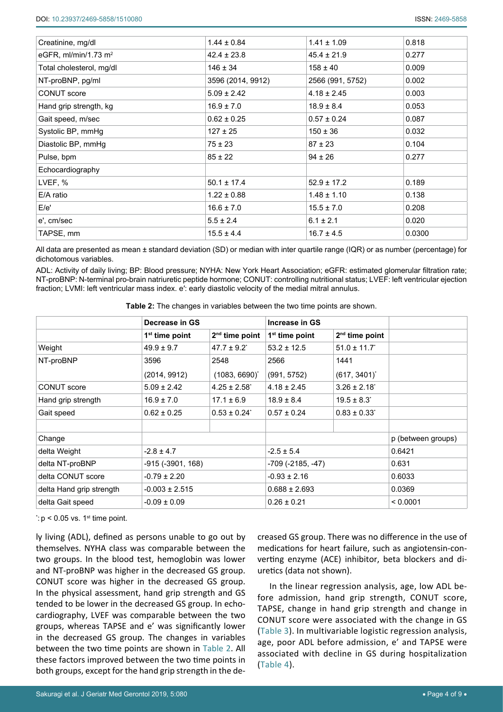| Creatinine, mg/dl                | $1.44 \pm 0.84$   | $1.41 \pm 1.09$  | 0.818  |
|----------------------------------|-------------------|------------------|--------|
| eGFR, ml/min/1.73 m <sup>2</sup> | $42.4 \pm 23.8$   | $45.4 \pm 21.9$  | 0.277  |
| Total cholesterol, mg/dl         | $146 \pm 34$      | $158 \pm 40$     | 0.009  |
| NT-proBNP, pg/ml                 | 3596 (2014, 9912) | 2566 (991, 5752) | 0.002  |
| CONUT score                      | $5.09 \pm 2.42$   | $4.18 \pm 2.45$  | 0.003  |
| Hand grip strength, kg           | $16.9 \pm 7.0$    | $18.9 \pm 8.4$   | 0.053  |
| Gait speed, m/sec                | $0.62 \pm 0.25$   | $0.57 \pm 0.24$  | 0.087  |
| Systolic BP, mmHg                | $127 \pm 25$      | $150 \pm 36$     | 0.032  |
| Diastolic BP, mmHg               | $75 \pm 23$       | $87 \pm 23$      | 0.104  |
| Pulse, bpm                       | $85 \pm 22$       | $94 \pm 26$      | 0.277  |
| Echocardiography                 |                   |                  |        |
| LVEF, %                          | $50.1 \pm 17.4$   | $52.9 \pm 17.2$  | 0.189  |
| E/A ratio                        | $1.22 \pm 0.88$   | $1.48 \pm 1.10$  | 0.138  |
| E/e'                             | $16.6 \pm 7.0$    | $15.5 \pm 7.0$   | 0.208  |
| e', cm/sec                       | $5.5 \pm 2.4$     | $6.1 \pm 2.1$    | 0.020  |
| TAPSE, mm                        | $15.5 \pm 4.4$    | $16.7 \pm 4.5$   | 0.0300 |

All data are presented as mean ± standard deviation (SD) or median with inter quartile range (IQR) or as number (percentage) for dichotomous variables.

ADL: Activity of daily living; BP: Blood pressure; NYHA: New York Heart Association; eGFR: estimated glomerular filtration rate; NT-proBNP: N-terminal pro-brain natriuretic peptide hormone; CONUT: controlling nutritional status; LVEF: left ventricular ejection fraction; LVMI: left ventricular mass index. e′: early diastolic velocity of the medial mitral annulus.

<span id="page-3-0"></span>

| Table 2: The changes in variables between the two time points are shown. |
|--------------------------------------------------------------------------|
|--------------------------------------------------------------------------|

|                          | Decrease in GS     |                              | Increase in GS    |                              |                    |
|--------------------------|--------------------|------------------------------|-------------------|------------------------------|--------------------|
|                          | $1st$ time point   | 2 <sup>nd</sup> time point   | $1st$ time point  | $2nd$ time point             |                    |
| Weight                   | $49.9 \pm 9.7$     | $47.7 \pm 9.2$ <sup>*</sup>  | $53.2 \pm 12.5$   | $51.0 \pm 11.7$              |                    |
| NT-proBNP                | 3596               | 2548                         | 2566              | 1441                         |                    |
|                          | (2014, 9912)       | $(1083, 6690)^{*}$           | (991, 5752)       | $(617, 3401)^{*}$            |                    |
| CONUT score              | $5.09 \pm 2.42$    | $4.25 \pm 2.58$ <sup>*</sup> | $4.18 \pm 2.45$   | $3.26 \pm 2.18$ <sup>*</sup> |                    |
| Hand grip strength       | $16.9 \pm 7.0$     | $17.1 \pm 6.9$               | $18.9 \pm 8.4$    | $19.5 \pm 8.3$               |                    |
| Gait speed               | $0.62 \pm 0.25$    | $0.53 \pm 0.24$              | $0.57 \pm 0.24$   | $0.83 \pm 0.33^{\circ}$      |                    |
|                          |                    |                              |                   |                              |                    |
| Change                   |                    |                              |                   |                              | p (between groups) |
| delta Weight             | $-2.8 \pm 4.7$     |                              | $-2.5 \pm 5.4$    |                              | 0.6421             |
| delta NT-proBNP          | -915 (-3901, 168)  |                              | -709 (-2185, -47) |                              | 0.631              |
| delta CONUT score        | $-0.79 \pm 2.20$   |                              | $-0.93 \pm 2.16$  |                              | 0.6033             |
| delta Hand grip strength | $-0.003 \pm 2.515$ |                              | $0.688 \pm 2.693$ |                              | 0.0369             |
| delta Gait speed         | $-0.09 \pm 0.09$   |                              | $0.26 \pm 0.21$   |                              | < 0.0001           |

 $\dot{\cdot}$ : p < 0.05 vs. 1 $^{\text{st}}$  time point.

ly living (ADL), defined as persons unable to go out by themselves. NYHA class was comparable between the two groups. In the blood test, hemoglobin was lower and NT-proBNP was higher in the decreased GS group. CONUT score was higher in the decreased GS group. In the physical assessment, hand grip strength and GS tended to be lower in the decreased GS group. In echocardiography, LVEF was comparable between the two groups, whereas TAPSE and e' was significantly lower in the decreased GS group. The changes in variables between the two time points are shown in [Table 2](#page-3-0). All these factors improved between the two time points in both groups, except for the hand grip strength in the decreased GS group. There was no difference in the use of medications for heart failure, such as angiotensin-converting enzyme (ACE) inhibitor, beta blockers and diuretics (data not shown).

In the linear regression analysis, age, low ADL before admission, hand grip strength, CONUT score, TAPSE, change in hand grip strength and change in CONUT score were associated with the change in GS ([Table 3](#page-4-0)). In multivariable logistic regression analysis, age, poor ADL before admission, e' and TAPSE were associated with decline in GS during hospitalization ([Table 4](#page-4-1)).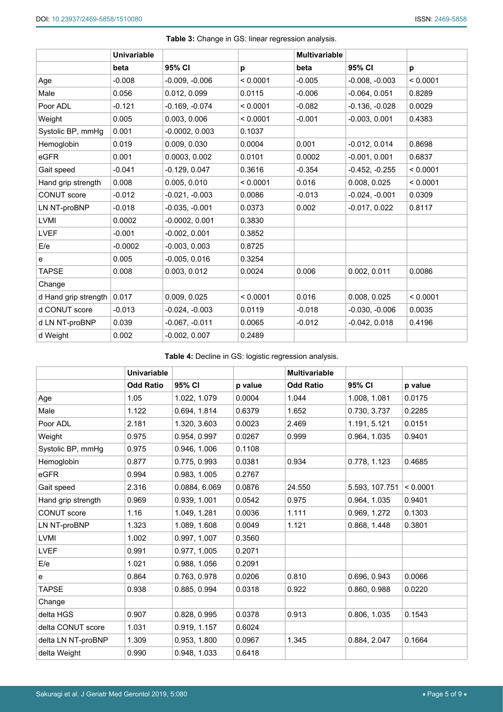<span id="page-4-0"></span>

| Table 3: Change in GS: linear regression analysis. |  |  |
|----------------------------------------------------|--|--|
|----------------------------------------------------|--|--|

|                      | <b>Univariable</b> |                  |          | <b>Multivariable</b> |                  |          |
|----------------------|--------------------|------------------|----------|----------------------|------------------|----------|
|                      | beta               | 95% CI           | p        | beta                 | 95% CI           | p        |
| Age                  | $-0.008$           | $-0.009, -0.006$ | < 0.0001 | $-0.005$             | $-0.008, -0.003$ | < 0.0001 |
| Male                 | 0.056              | 0.012, 0.099     | 0.0115   | $-0.006$             | $-0.064, 0.051$  | 0.8289   |
| Poor ADL             | $-0.121$           | $-0.169, -0.074$ | < 0.0001 | $-0.082$             | $-0.136, -0.028$ | 0.0029   |
| Weight               | 0.005              | 0.003, 0.006     | < 0.0001 | $-0.001$             | $-0.003, 0.001$  | 0.4383   |
| Systolic BP, mmHg    | 0.001              | $-0.0002, 0.003$ | 0.1037   |                      |                  |          |
| Hemoglobin           | 0.019              | 0.009, 0.030     | 0.0004   | 0.001                | $-0.012, 0.014$  | 0.8698   |
| eGFR                 | 0.001              | 0.0003, 0.002    | 0.0101   | 0.0002               | $-0.001, 0.001$  | 0.6837   |
| Gait speed           | $-0.041$           | $-0.129, 0.047$  | 0.3616   | $-0.354$             | $-0.452, -0.255$ | < 0.0001 |
| Hand grip strength   | 0.008              | 0.005, 0.010     | < 0.0001 | 0.016                | 0.008, 0.025     | < 0.0001 |
| <b>CONUT</b> score   | $-0.012$           | $-0.021, -0.003$ | 0.0086   | $-0.013$             | $-0.024, -0.001$ | 0.0309   |
| LN NT-proBNP         | $-0.018$           | $-0.035, -0.001$ | 0.0373   | 0.002                | $-0.017, 0.022$  | 0.8117   |
| LVMI                 | 0.0002             | $-0.0002, 0.001$ | 0.3830   |                      |                  |          |
| <b>LVEF</b>          | $-0.001$           | $-0.002, 0.001$  | 0.3852   |                      |                  |          |
| E/e                  | $-0.0002$          | $-0.003, 0.003$  | 0.8725   |                      |                  |          |
| e                    | 0.005              | $-0.005, 0.016$  | 0.3254   |                      |                  |          |
| <b>TAPSE</b>         | 0.008              | 0.003, 0.012     | 0.0024   | 0.006                | 0.002, 0.011     | 0.0086   |
| Change               |                    |                  |          |                      |                  |          |
| d Hand grip strength | 0.017              | 0.009, 0.025     | < 0.0001 | 0.016                | 0.008, 0.025     | < 0.0001 |
| d CONUT score        | $-0.013$           | $-0.024, -0.003$ | 0.0119   | $-0.018$             | $-0.030, -0.006$ | 0.0035   |
| d LN NT-proBNP       | 0.039              | $-0.067, -0.011$ | 0.0065   | $-0.012$             | $-0.042, 0.018$  | 0.4196   |
| d Weight             | 0.002              | $-0.002, 0.007$  | 0.2489   |                      |                  |          |

<span id="page-4-1"></span>**Table 4:** Decline in GS: logistic regression analysis.

|                    | <b>Univariable</b> |               |         | <b>Multivariable</b> |                |          |
|--------------------|--------------------|---------------|---------|----------------------|----------------|----------|
|                    | <b>Odd Ratio</b>   | 95% CI        | p value | <b>Odd Ratio</b>     | 95% CI         | p value  |
| Age                | 1.05               | 1.022, 1.079  | 0.0004  | 1.044                | 1.008, 1.081   | 0.0175   |
| Male               | 1.122              | 0.694, 1.814  | 0.6379  | 1.652                | 0.730, 3.737   | 0.2285   |
| Poor ADL           | 2.181              | 1.320, 3.603  | 0.0023  | 2.469                | 1.191, 5.121   | 0.0151   |
| Weight             | 0.975              | 0.954, 0.997  | 0.0267  | 0.999                | 0.964, 1.035   | 0.9401   |
| Systolic BP, mmHg  | 0.975              | 0.946, 1.006  | 0.1108  |                      |                |          |
| Hemoglobin         | 0.877              | 0.775, 0.993  | 0.0381  | 0.934                | 0.778, 1.123   | 0.4685   |
| eGFR               | 0.994              | 0.983, 1.005  | 0.2767  |                      |                |          |
| Gait speed         | 2.316              | 0.0884, 6.069 | 0.0876  | 24.550               | 5.593, 107.751 | < 0.0001 |
| Hand grip strength | 0.969              | 0.939, 1.001  | 0.0542  | 0.975                | 0.964, 1.035   | 0.9401   |
| CONUT score        | 1.16               | 1.049, 1.281  | 0.0036  | 1.111                | 0.969, 1.272   | 0.1303   |
| LN NT-proBNP       | 1.323              | 1.089, 1.608  | 0.0049  | 1.121                | 0.868, 1.448   | 0.3801   |
| <b>LVMI</b>        | 1.002              | 0.997, 1.007  | 0.3560  |                      |                |          |
| <b>LVEF</b>        | 0.991              | 0.977, 1.005  | 0.2071  |                      |                |          |
| E/e                | 1.021              | 0.988, 1.056  | 0.2091  |                      |                |          |
| e                  | 0.864              | 0.763, 0.978  | 0.0206  | 0.810                | 0.696, 0.943   | 0.0066   |
| <b>TAPSE</b>       | 0.938              | 0.885, 0.994  | 0.0318  | 0.922                | 0.860, 0.988   | 0.0220   |
| Change             |                    |               |         |                      |                |          |
| delta HGS          | 0.907              | 0.828, 0.995  | 0.0378  | 0.913                | 0.806, 1.035   | 0.1543   |
| delta CONUT score  | 1.031              | 0.919, 1.157  | 0.6024  |                      |                |          |
| delta LN NT-proBNP | 1.309              | 0.953, 1.800  | 0.0967  | 1.345                | 0.884, 2.047   | 0.1664   |
| delta Weight       | 0.990              | 0.948, 1.033  | 0.6418  |                      |                |          |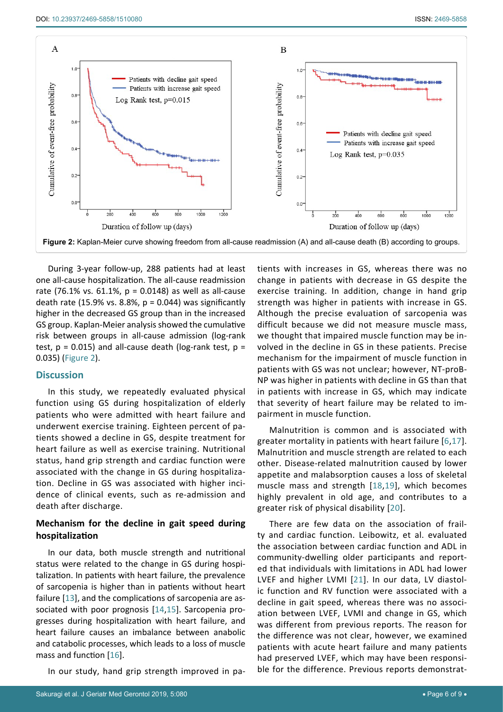<span id="page-5-0"></span>

During 3-year follow-up, 288 patients had at least one all-cause hospitalization. The all-cause readmission rate (76.1% vs. 61.1%,  $p = 0.0148$ ) as well as all-cause death rate (15.9% vs. 8.8%,  $p = 0.044$ ) was significantly higher in the decreased GS group than in the increased GS group. Kaplan-Meier analysis showed the cumulative risk between groups in all-cause admission (log-rank test,  $p = 0.015$ ) and all-cause death (log-rank test,  $p =$ 0.035) ([Figure 2\)](#page-5-0).

## **Discussion**

In this study, we repeatedly evaluated physical function using GS during hospitalization of elderly patients who were admitted with heart failure and underwent exercise training. Eighteen percent of patients showed a decline in GS, despite treatment for heart failure as well as exercise training. Nutritional status, hand grip strength and cardiac function were associated with the change in GS during hospitalization. Decline in GS was associated with higher incidence of clinical events, such as re-admission and death after discharge.

## **Mechanism for the decline in gait speed during hospitalization**

In our data, both muscle strength and nutritional status were related to the change in GS during hospitalization. In patients with heart failure, the prevalence of sarcopenia is higher than in patients without heart failure [[13](#page-7-16)], and the complications of sarcopenia are associated with poor prognosis [[14](#page-7-17)[,15](#page-7-18)]. Sarcopenia progresses during hospitalization with heart failure, and heart failure causes an imbalance between anabolic and catabolic processes, which leads to a loss of muscle mass and function [[16](#page-7-19)].

In our study, hand grip strength improved in pa-

tients with increases in GS, whereas there was no change in patients with decrease in GS despite the exercise training. In addition, change in hand grip strength was higher in patients with increase in GS. Although the precise evaluation of sarcopenia was difficult because we did not measure muscle mass, we thought that impaired muscle function may be involved in the decline in GS in these patients. Precise mechanism for the impairment of muscle function in patients with GS was not unclear; however, NT-proB-NP was higher in patients with decline in GS than that in patients with increase in GS, which may indicate that severity of heart failure may be related to impairment in muscle function.

Malnutrition is common and is associated with greater mortality in patients with heart failure [[6,](#page-7-8)[17](#page-7-11)]. Malnutrition and muscle strength are related to each other. Disease-related malnutrition caused by lower appetite and malabsorption causes a loss of skeletal muscle mass and strength [[18,](#page-7-12)[19](#page-7-13)], which becomes highly prevalent in old age, and contributes to a greater risk of physical disability [[20\]](#page-7-14).

There are few data on the association of frailty and cardiac function. Leibowitz, et al. evaluated the association between cardiac function and ADL in community-dwelling older participants and reported that individuals with limitations in ADL had lower LVEF and higher LVMI [[21](#page-7-15)]. In our data, LV diastolic function and RV function were associated with a decline in gait speed, whereas there was no association between LVEF, LVMI and change in GS, which was different from previous reports. The reason for the difference was not clear, however, we examined patients with acute heart failure and many patients had preserved LVEF, which may have been responsible for the difference. Previous reports demonstrat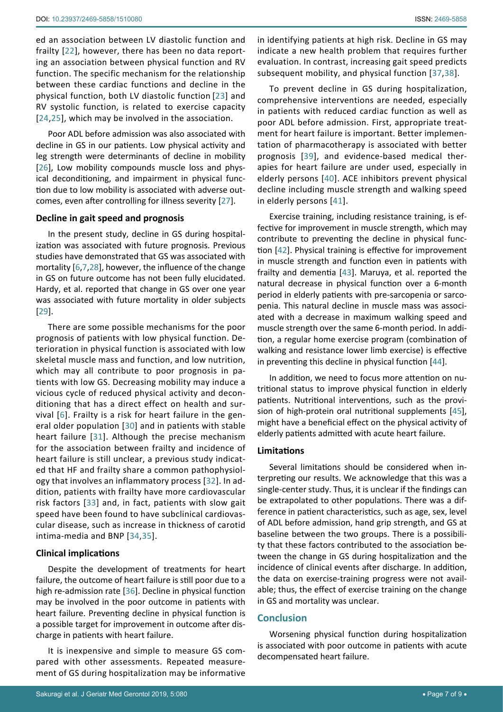ed an association between LV diastolic function and frailty [[22](#page-7-20)], however, there has been no data reporting an association between physical function and RV function. The specific mechanism for the relationship between these cardiac functions and decline in the physical function, both LV diastolic function [[23\]](#page-7-21) and RV systolic function, is related to exercise capacity [[24,](#page-7-22)[25](#page-7-23)], which may be involved in the association.

Poor ADL before admission was also associated with decline in GS in our patients. Low physical activity and leg strength were determinants of decline in mobility [[26](#page-7-24)], Low mobility compounds muscle loss and physical deconditioning, and impairment in physical function due to low mobility is associated with adverse outcomes, even after controlling for illness severity [[27](#page-7-25)].

## **Decline in gait speed and prognosis**

In the present study, decline in GS during hospitalization was associated with future prognosis. Previous studies have demonstrated that GS was associated with mortality [[6](#page-7-8)[,7](#page-7-9),[28](#page-7-26)], however, the influence of the change in GS on future outcome has not been fully elucidated. Hardy, et al. reported that change in GS over one year was associated with future mortality in older subjects [[29](#page-8-9)].

There are some possible mechanisms for the poor prognosis of patients with low physical function. Deterioration in physical function is associated with low skeletal muscle mass and function, and low nutrition, which may all contribute to poor prognosis in patients with low GS. Decreasing mobility may induce a vicious cycle of reduced physical activity and deconditioning that has a direct effect on health and survival [[6](#page-7-8)]. Frailty is a risk for heart failure in the general older population [[30](#page-8-10)] and in patients with stable heart failure [[31](#page-8-11)]. Although the precise mechanism for the association between frailty and incidence of heart failure is still unclear, a previous study indicated that HF and frailty share a common pathophysiology that involves an inflammatory process [[32\]](#page-8-12). In addition, patients with frailty have more cardiovascular risk factors [[33](#page-8-13)] and, in fact, patients with slow gait speed have been found to have subclinical cardiovascular disease, such as increase in thickness of carotid intima-media and BNP [[34](#page-8-14),[35\]](#page-8-15).

## **Clinical implications**

Despite the development of treatments for heart failure, the outcome of heart failure is still poor due to a high re-admission rate [[36](#page-8-16)]. Decline in physical function may be involved in the poor outcome in patients with heart failure. Preventing decline in physical function is a possible target for improvement in outcome after discharge in patients with heart failure.

It is inexpensive and simple to measure GS compared with other assessments. Repeated measurement of GS during hospitalization may be informative in identifying patients at high risk. Decline in GS may indicate a new health problem that requires further evaluation. In contrast, increasing gait speed predicts subsequent mobility, and physical function [[37](#page-8-0),[38\]](#page-8-1).

To prevent decline in GS during hospitalization, comprehensive interventions are needed, especially in patients with reduced cardiac function as well as poor ADL before admission. First, appropriate treatment for heart failure is important. Better implementation of pharmacotherapy is associated with better prognosis [[39](#page-8-2)], and evidence-based medical therapies for heart failure are under used, especially in elderly persons [[40](#page-8-3)]. ACE inhibitors prevent physical decline including muscle strength and walking speed in elderly persons [[41\]](#page-8-4).

Exercise training, including resistance training, is effective for improvement in muscle strength, which may contribute to preventing the decline in physical function [[42](#page-8-5)]. Physical training is effective for improvement in muscle strength and function even in patients with frailty and dementia [[43](#page-8-6)]. Maruya, et al. reported the natural decrease in physical function over a 6-month period in elderly patients with pre-sarcopenia or sarcopenia. This natural decline in muscle mass was associated with a decrease in maximum walking speed and muscle strength over the same 6-month period. In addition, a regular home exercise program (combination of walking and resistance lower limb exercise) is effective in preventing this decline in physical function [[44](#page-8-7)].

In addition, we need to focus more attention on nutritional status to improve physical function in elderly patients. Nutritional interventions, such as the provision of high-protein oral nutritional supplements [[45\]](#page-8-8), might have a beneficial effect on the physical activity of elderly patients admitted with acute heart failure.

#### **Limitations**

Several limitations should be considered when interpreting our results. We acknowledge that this was a single-center study. Thus, it is unclear if the findings can be extrapolated to other populations. There was a difference in patient characteristics, such as age, sex, level of ADL before admission, hand grip strength, and GS at baseline between the two groups. There is a possibility that these factors contributed to the association between the change in GS during hospitalization and the incidence of clinical events after discharge. In addition, the data on exercise-training progress were not available; thus, the effect of exercise training on the change in GS and mortality was unclear.

## **Conclusion**

Worsening physical function during hospitalization is associated with poor outcome in patients with acute decompensated heart failure.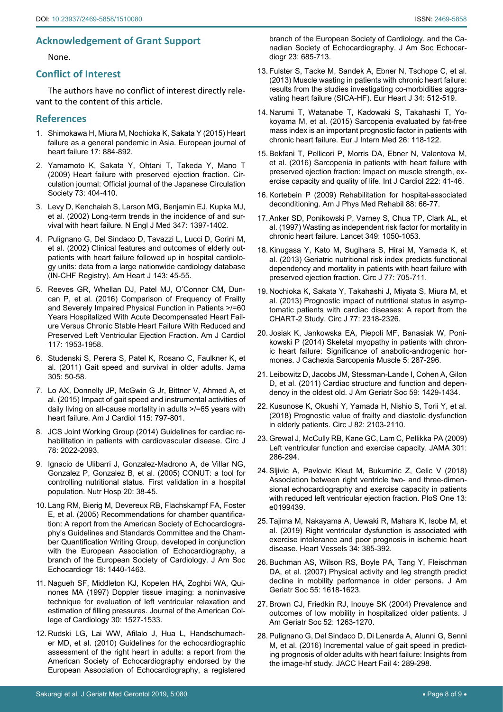## **Acknowledgement of Grant Support**

None.

#### **Conflict of Interest**

The authors have no conflict of interest directly relevant to the content of this article.

#### **References**

- <span id="page-7-0"></span>1. [Shimokawa H, Miura M, Nochioka K, Sakata Y \(2015\) Heart](https://www.ncbi.nlm.nih.gov/pubmed/26222508)  [failure as a general pandemic in Asia. European journal of](https://www.ncbi.nlm.nih.gov/pubmed/26222508)  [heart failure 17: 884-892.](https://www.ncbi.nlm.nih.gov/pubmed/26222508)
- <span id="page-7-1"></span>2. [Yamamoto K, Sakata Y, Ohtani T, Takeda Y, Mano T](https://www.jstage.jst.go.jp/article/circj/73/3/73_CJ-08-1073/_article)  [\(2009\) Heart failure with preserved ejection fraction. Cir](https://www.jstage.jst.go.jp/article/circj/73/3/73_CJ-08-1073/_article)[culation journal: Official journal of the Japanese Circulation](https://www.jstage.jst.go.jp/article/circj/73/3/73_CJ-08-1073/_article)  [Society 73: 404-410.](https://www.jstage.jst.go.jp/article/circj/73/3/73_CJ-08-1073/_article)
- 3. [Levy D, Kenchaiah S, Larson MG, Benjamin EJ, Kupka MJ,](https://www.ncbi.nlm.nih.gov/pubmed/12409541)  [et al. \(2002\) Long-term trends in the incidence of and sur](https://www.ncbi.nlm.nih.gov/pubmed/12409541)[vival with heart failure. N Engl J Med 347: 1397-1402.](https://www.ncbi.nlm.nih.gov/pubmed/12409541)
- <span id="page-7-2"></span>4. [Pulignano G, Del Sindaco D, Tavazzi L, Lucci D, Gorini M,](https://www.ncbi.nlm.nih.gov/pubmed/11773911)  [et al. \(2002\) Clinical features and outcomes of elderly out](https://www.ncbi.nlm.nih.gov/pubmed/11773911)[patients with heart failure followed up in hospital cardiolo](https://www.ncbi.nlm.nih.gov/pubmed/11773911)[gy units: data from a large nationwide cardiology database](https://www.ncbi.nlm.nih.gov/pubmed/11773911)  [\(IN-CHF Registry\). Am Heart J 143: 45-55.](https://www.ncbi.nlm.nih.gov/pubmed/11773911)
- <span id="page-7-3"></span>5. [Reeves GR, Whellan DJ, Patel MJ, O'Connor CM, Dun](https://www.ncbi.nlm.nih.gov/pubmed/27156830)[can P, et al. \(2016\) Comparison of Frequency of Frailty](https://www.ncbi.nlm.nih.gov/pubmed/27156830)  [and Severely Impaired Physical Function in Patients >/=60](https://www.ncbi.nlm.nih.gov/pubmed/27156830)  [Years Hospitalized With Acute Decompensated Heart Fail](https://www.ncbi.nlm.nih.gov/pubmed/27156830)[ure Versus Chronic Stable Heart Failure With Reduced and](https://www.ncbi.nlm.nih.gov/pubmed/27156830)  [Preserved Left Ventricular Ejection Fraction. Am J Cardiol](https://www.ncbi.nlm.nih.gov/pubmed/27156830)  [117: 1953-1958.](https://www.ncbi.nlm.nih.gov/pubmed/27156830)
- <span id="page-7-8"></span>6. [Studenski S, Perera S, Patel K, Rosano C, Faulkner K, et](https://www.ncbi.nlm.nih.gov/pubmed/21205966)  [al. \(2011\) Gait speed and survival in older adults. Jama](https://www.ncbi.nlm.nih.gov/pubmed/21205966)  [305: 50-58.](https://www.ncbi.nlm.nih.gov/pubmed/21205966)
- <span id="page-7-9"></span>7. [Lo AX, Donnelly JP, McGwin G Jr, Bittner V, Ahmed A, et](https://www.ncbi.nlm.nih.gov/pubmed/25655868)  [al. \(2015\) Impact of gait speed and instrumental activities of](https://www.ncbi.nlm.nih.gov/pubmed/25655868)  [daily living on all-cause mortality in adults >/=65 years with](https://www.ncbi.nlm.nih.gov/pubmed/25655868)  [heart failure. Am J Cardiol 115: 797-801.](https://www.ncbi.nlm.nih.gov/pubmed/25655868)
- <span id="page-7-10"></span>8. [JCS Joint Working Group \(2014\) Guidelines for cardiac re](https://www.ncbi.nlm.nih.gov/pubmed/25047729)[habilitation in patients with cardiovascular disease. Circ J](https://www.ncbi.nlm.nih.gov/pubmed/25047729)  [78: 2022-2093.](https://www.ncbi.nlm.nih.gov/pubmed/25047729)
- <span id="page-7-4"></span>9. [Ignacio de Ulibarri J, Gonzalez-Madrono A, de Villar NG,](https://www.ncbi.nlm.nih.gov/pubmed/15762418)  [Gonzalez P, Gonzalez B, et al. \(2005\) CONUT: a tool for](https://www.ncbi.nlm.nih.gov/pubmed/15762418)  [controlling nutritional status. First validation in a hospital](https://www.ncbi.nlm.nih.gov/pubmed/15762418)  [population. Nutr Hosp 20: 38-45.](https://www.ncbi.nlm.nih.gov/pubmed/15762418)
- <span id="page-7-5"></span>10. [Lang RM, Bierig M, Devereux RB, Flachskampf FA, Foster](https://www.ncbi.nlm.nih.gov/pubmed/16376782)  [E, et al. \(2005\) Recommendations for chamber quantifica](https://www.ncbi.nlm.nih.gov/pubmed/16376782)[tion: A report from the American Society of Echocardiogra](https://www.ncbi.nlm.nih.gov/pubmed/16376782)[phy's Guidelines and Standards Committee and the Cham](https://www.ncbi.nlm.nih.gov/pubmed/16376782)[ber Quantification Writing Group, developed in conjunction](https://www.ncbi.nlm.nih.gov/pubmed/16376782)  [with the European Association of Echocardiography, a](https://www.ncbi.nlm.nih.gov/pubmed/16376782)  [branch of the European Society of Cardiology. J Am Soc](https://www.ncbi.nlm.nih.gov/pubmed/16376782)  [Echocardiogr 18: 1440-1463.](https://www.ncbi.nlm.nih.gov/pubmed/16376782)
- <span id="page-7-6"></span>11. [Nagueh SF, Middleton KJ, Kopelen HA, Zoghbi WA, Qui](https://www.ncbi.nlm.nih.gov/pubmed/9362412)[nones MA \(1997\) Doppler tissue imaging: a noninvasive](https://www.ncbi.nlm.nih.gov/pubmed/9362412)  [technique for evaluation of left ventricular relaxation and](https://www.ncbi.nlm.nih.gov/pubmed/9362412)  [estimation of filling pressures. Journal of the American Col](https://www.ncbi.nlm.nih.gov/pubmed/9362412)[lege of Cardiology 30: 1527-1533.](https://www.ncbi.nlm.nih.gov/pubmed/9362412)
- <span id="page-7-7"></span>12. [Rudski LG, Lai WW, Afilalo J, Hua L, Handschumach](https://www.ncbi.nlm.nih.gov/pubmed/20620859)[er MD, et al. \(2010\) Guidelines for the echocardiographic](https://www.ncbi.nlm.nih.gov/pubmed/20620859)  [assessment of the right heart in adults: a report from the](https://www.ncbi.nlm.nih.gov/pubmed/20620859)  [American Society of Echocardiography endorsed by the](https://www.ncbi.nlm.nih.gov/pubmed/20620859)  [European Association of Echocardiography, a registered](https://www.ncbi.nlm.nih.gov/pubmed/20620859)
- <span id="page-7-16"></span>13. [Fulster S, Tacke M, Sandek A, Ebner N, Tschope C, et al.](https://www.ncbi.nlm.nih.gov/pubmed/23178647)  [\(2013\) Muscle wasting in patients with chronic heart failure:](https://www.ncbi.nlm.nih.gov/pubmed/23178647)  [results from the studies investigating co-morbidities aggra](https://www.ncbi.nlm.nih.gov/pubmed/23178647)[vating heart failure \(SICA-HF\). Eur Heart J 34: 512-519.](https://www.ncbi.nlm.nih.gov/pubmed/23178647)
- <span id="page-7-17"></span>14. [Narumi T, Watanabe T, Kadowaki S, Takahashi T, Yo](https://www.ncbi.nlm.nih.gov/pubmed/25657117)[koyama M, et al. \(2015\) Sarcopenia evaluated by fat-free](https://www.ncbi.nlm.nih.gov/pubmed/25657117)  [mass index is an important prognostic factor in patients with](https://www.ncbi.nlm.nih.gov/pubmed/25657117)  [chronic heart failure. Eur J Intern Med 26: 118-122.](https://www.ncbi.nlm.nih.gov/pubmed/25657117)
- <span id="page-7-18"></span>15. [Bekfani T, Pellicori P, Morris DA, Ebner N, Valentova M,](https://www.ncbi.nlm.nih.gov/pubmed/27454614)  [et al. \(2016\) Sarcopenia in patients with heart failure with](https://www.ncbi.nlm.nih.gov/pubmed/27454614)  [preserved ejection fraction: Impact on muscle strength, ex](https://www.ncbi.nlm.nih.gov/pubmed/27454614)[ercise capacity and quality of life. Int J Cardiol 222: 41-46.](https://www.ncbi.nlm.nih.gov/pubmed/27454614)
- <span id="page-7-19"></span>16. [Kortebein P \(2009\) Rehabilitation for hospital-associated](https://www.ncbi.nlm.nih.gov/pubmed/18688198)  [deconditioning. Am J Phys Med Rehabil 88: 66-77.](https://www.ncbi.nlm.nih.gov/pubmed/18688198)
- <span id="page-7-11"></span>17. [Anker SD, Ponikowski P, Varney S, Chua TP, Clark AL, et](https://www.ncbi.nlm.nih.gov/pubmed/9107242)  [al. \(1997\) Wasting as independent risk factor for mortality in](https://www.ncbi.nlm.nih.gov/pubmed/9107242)  [chronic heart failure. Lancet 349: 1050-1053.](https://www.ncbi.nlm.nih.gov/pubmed/9107242)
- <span id="page-7-12"></span>18. [Kinugasa Y, Kato M, Sugihara S, Hirai M, Yamada K, et](https://www.ncbi.nlm.nih.gov/pubmed/23182759)  [al. \(2013\) Geriatric nutritional risk index predicts functional](https://www.ncbi.nlm.nih.gov/pubmed/23182759)  [dependency and mortality in patients with heart failure with](https://www.ncbi.nlm.nih.gov/pubmed/23182759)  [preserved ejection fraction. Circ J 77: 705-711.](https://www.ncbi.nlm.nih.gov/pubmed/23182759)
- <span id="page-7-13"></span>19. [Nochioka K, Sakata Y, Takahashi J, Miyata S, Miura M, et](https://www.ncbi.nlm.nih.gov/pubmed/23811683)  [al. \(2013\) Prognostic impact of nutritional status in asymp](https://www.ncbi.nlm.nih.gov/pubmed/23811683)[tomatic patients with cardiac diseases: A report from the](https://www.ncbi.nlm.nih.gov/pubmed/23811683)  [CHART-2 Study. Circ J 77: 2318-2326.](https://www.ncbi.nlm.nih.gov/pubmed/23811683)
- <span id="page-7-14"></span>20. [Josiak K, Jankowska EA, Piepoli MF, Banasiak W, Poni](https://www.ncbi.nlm.nih.gov/pubmed/25081949)[kowski P \(2014\) Skeletal myopathy in patients with chron](https://www.ncbi.nlm.nih.gov/pubmed/25081949)[ic heart failure: Significance of anabolic-androgenic hor](https://www.ncbi.nlm.nih.gov/pubmed/25081949)[mones. J Cachexia Sarcopenia Muscle 5: 287-296.](https://www.ncbi.nlm.nih.gov/pubmed/25081949)
- <span id="page-7-15"></span>21. [Leibowitz D, Jacobs JM, Stessman-Lande I, Cohen A, Gilon](https://www.ncbi.nlm.nih.gov/pubmed/21824119)  [D, et al. \(2011\) Cardiac structure and function and depen](https://www.ncbi.nlm.nih.gov/pubmed/21824119)[dency in the oldest old. J Am Geriatr Soc 59: 1429-1434.](https://www.ncbi.nlm.nih.gov/pubmed/21824119)
- <span id="page-7-20"></span>22. [Kusunose K, Okushi Y, Yamada H, Nishio S, Torii Y, et al.](https://www.ncbi.nlm.nih.gov/pubmed/29709994)  [\(2018\) Prognostic value of frailty and diastolic dysfunction](https://www.ncbi.nlm.nih.gov/pubmed/29709994)  [in elderly patients. Circ J 82: 2103-2110.](https://www.ncbi.nlm.nih.gov/pubmed/29709994)
- <span id="page-7-21"></span>23. [Grewal J, McCully RB, Kane GC, Lam C, Pellikka PA \(2009\)](https://www.ncbi.nlm.nih.gov/pubmed/19155455)  [Left ventricular function and exercise capacity. JAMA 301:](https://www.ncbi.nlm.nih.gov/pubmed/19155455)  [286-294.](https://www.ncbi.nlm.nih.gov/pubmed/19155455)
- <span id="page-7-22"></span>24. [Sljivic A, Pavlovic Kleut M, Bukumiric Z, Celic V \(2018\)](https://www.ncbi.nlm.nih.gov/pubmed/29928010)  [Association between right ventricle two- and three-dimen](https://www.ncbi.nlm.nih.gov/pubmed/29928010)[sional echocardiography and exercise capacity in patients](https://www.ncbi.nlm.nih.gov/pubmed/29928010)  [with reduced left ventricular ejection fraction. PloS One 13:](https://www.ncbi.nlm.nih.gov/pubmed/29928010)  [e0199439.](https://www.ncbi.nlm.nih.gov/pubmed/29928010)
- <span id="page-7-23"></span>25. [Tajima M, Nakayama A, Uewaki R, Mahara K, Isobe M, et](https://www.ncbi.nlm.nih.gov/pubmed/30187119)  [al. \(2019\) Right ventricular dysfunction is associated with](https://www.ncbi.nlm.nih.gov/pubmed/30187119)  [exercise intolerance and poor prognosis in ischemic heart](https://www.ncbi.nlm.nih.gov/pubmed/30187119)  [disease. Heart Vessels 34: 385-392.](https://www.ncbi.nlm.nih.gov/pubmed/30187119)
- <span id="page-7-24"></span>26. [Buchman AS, Wilson RS, Boyle PA, Tang Y, Fleischman](https://www.ncbi.nlm.nih.gov/pubmed/17697103)  [DA, et al. \(2007\) Physical activity and leg strength predict](https://www.ncbi.nlm.nih.gov/pubmed/17697103)  [decline in mobility performance in older persons. J Am](https://www.ncbi.nlm.nih.gov/pubmed/17697103)  [Geriatr Soc 55: 1618-1623.](https://www.ncbi.nlm.nih.gov/pubmed/17697103)
- <span id="page-7-25"></span>27. [Brown CJ, Friedkin RJ, Inouye SK \(2004\) Prevalence and](https://www.ncbi.nlm.nih.gov/pubmed/15271112)  [outcomes of low mobility in hospitalized older patients. J](https://www.ncbi.nlm.nih.gov/pubmed/15271112)  [Am Geriatr Soc 52: 1263-1270.](https://www.ncbi.nlm.nih.gov/pubmed/15271112)
- <span id="page-7-26"></span>28. [Pulignano G, Del Sindaco D, Di Lenarda A, Alunni G, Senni](https://www.ncbi.nlm.nih.gov/pubmed/26970831)  [M, et al. \(2016\) Incremental value of gait speed in predict](https://www.ncbi.nlm.nih.gov/pubmed/26970831)[ing prognosis of older adults with heart failure: Insights from](https://www.ncbi.nlm.nih.gov/pubmed/26970831)  [the image-hf study. JACC Heart Fail 4: 289-298.](https://www.ncbi.nlm.nih.gov/pubmed/26970831)